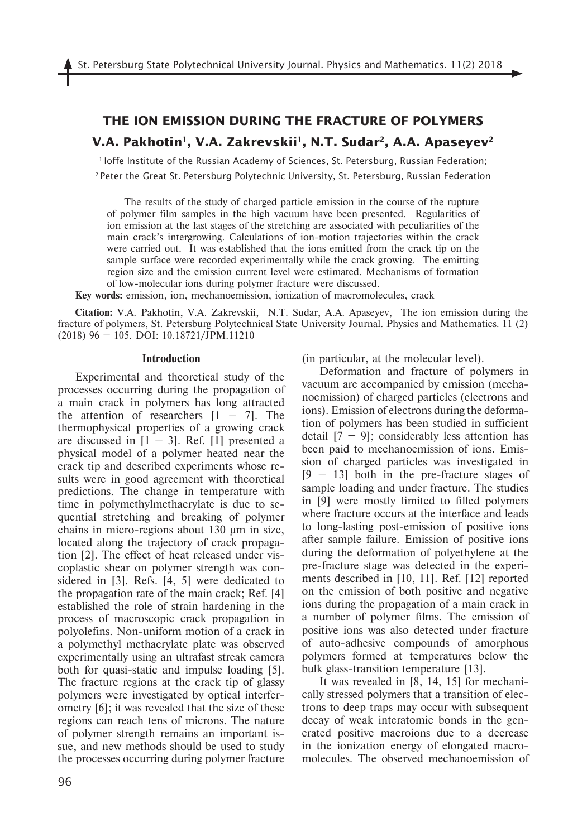# **The ion emission during the fracture of polymers**

# **V.A. Pakhotin1, V.A. Zakrevskii1, N.T. Sudar2, A.A. Apaseyev2**

<sup>1</sup> Ioffe Institute of the Russian Academy of Sciences, St. Petersburg, Russian Federation; 2 Peter the Great St. Petersburg Polytechnic University, St. Petersburg, Russian Federation

The results of the study of charged particle emission in the course of the rupture of polymer film samples in the high vacuum have been presented. Regularities of ion emission at the last stages of the stretching are associated with peculiarities of the main crack's intergrowing. Calculations of ion-motion trajectories within the crack were carried out. It was established that the ions emitted from the crack tip on the sample surface were recorded experimentally while the crack growing. The emitting region size and the emission current level were estimated. Mechanisms of formation of low-molecular ions during polymer fracture were discussed.

**Key words:** emission, ion, mechanoemission, ionization of macromolecules, crack

**Citation:** V.A. Pakhotin, V.A. Zakrevskii, N.T. Sudar, A.A. Apaseyev, The ion emission during the fracture of polymers, St. Petersburg Polytechnical State University Journal. Physics and Mathematics. 11 (2) (2018) 96 – 105. DOI: 10.18721/JPM.11210

#### **Introduction**

Experimental and theoretical study of the processes occurring during the propagation of a main crack in polymers has long attracted the attention of researchers  $[1 - 7]$ . The thermophysical properties of a growing crack are discussed in  $[1 - 3]$ . Ref. [1] presented a physical model of a polymer heated near the crack tip and described experiments whose results were in good agreement with theoretical predictions. The change in temperature with time in polymethylmethacrylate is due to sequential stretching and breaking of polymer chains in micro-regions about 130 μm in size, located along the trajectory of crack propagation [2]. The effect of heat released under viscoplastic shear on polymer strength was considered in [3]. Refs. [4, 5] were dedicated to the propagation rate of the main crack; Ref. [4] established the role of strain hardening in the process of macroscopic crack propagation in polyolefins. Non-uniform motion of a crack in a polymethyl methacrylate plate was observed experimentally using an ultrafast streak camera both for quasi-static and impulse loading [5]. The fracture regions at the crack tip of glassy polymers were investigated by optical interferometry [6]; it was revealed that the size of these regions can reach tens of microns. The nature of polymer strength remains an important issue, and new methods should be used to study the processes occurring during polymer fracture

(in particular, at the molecular level).

Deformation and fracture of polymers in vacuum are accompanied by emission (mechanoemission) of charged particles (electrons and ions). Emission of electrons during the deformation of polymers has been studied in sufficient detail  $[7 - 9]$ ; considerably less attention has been paid to mechanoemission of ions. Emission of charged particles was investigated in  $[9 - 13]$  both in the pre-fracture stages of sample loading and under fracture. The studies in [9] were mostly limited to filled polymers where fracture occurs at the interface and leads to long-lasting post-emission of positive ions after sample failure. Emission of positive ions during the deformation of polyethylene at the pre-fracture stage was detected in the experiments described in [10, 11]. Ref. [12] reported on the emission of both positive and negative ions during the propagation of a main crack in a number of polymer films. The emission of positive ions was also detected under fracture of auto-adhesive compounds of amorphous polymers formed at temperatures below the bulk glass-transition temperature [13].

It was revealed in [8, 14, 15] for mechanically stressed polymers that a transition of electrons to deep traps may occur with subsequent decay of weak interatomic bonds in the generated positive macroions due to a decrease in the ionization energy of elongated macromolecules. The observed mechanoemission of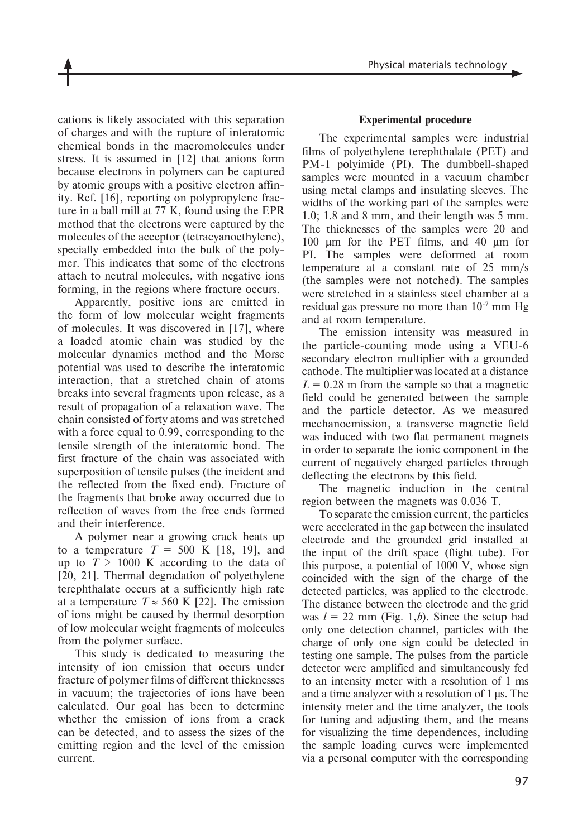cations is likely associated with this separation of charges and with the rupture of interatomic chemical bonds in the macromolecules under stress. It is assumed in [12] that anions form because electrons in polymers can be captured by atomic groups with a positive electron affinity. Ref. [16], reporting on polypropylene fracture in a ball mill at 77 K, found using the EPR method that the electrons were captured by the molecules of the acceptor (tetracyanoethylene), specially embedded into the bulk of the polymer. This indicates that some of the electrons attach to neutral molecules, with negative ions forming, in the regions where fracture occurs.

Apparently, positive ions are emitted in the form of low molecular weight fragments of molecules. It was discovered in [17], where a loaded atomic chain was studied by the molecular dynamics method and the Morse potential was used to describe the interatomic interaction, that a stretched chain of atoms breaks into several fragments upon release, as a result of propagation of a relaxation wave. The chain consisted of forty atoms and was stretched with a force equal to 0.99, corresponding to the tensile strength of the interatomic bond. The first fracture of the chain was associated with superposition of tensile pulses (the incident and the reflected from the fixed end). Fracture of the fragments that broke away occurred due to reflection of waves from the free ends formed and their interference.

A polymer near a growing crack heats up to a temperature  $T = 500$  K [18, 19], and up to  $T > 1000$  K according to the data of [20, 21]. Thermal degradation of polyethylene terephthalate occurs at a sufficiently high rate at a temperature  $T \approx 560 \text{ K}$  [22]. The emission of ions might be caused by thermal desorption of low molecular weight fragments of molecules from the polymer surface.

This study is dedicated to measuring the intensity of ion emission that occurs under fracture of polymer films of different thicknesses in vacuum; the trajectories of ions have been calculated. Our goal has been to determine whether the emission of ions from a crack can be detected, and to assess the sizes of the emitting region and the level of the emission current.

## **Experimental procedure**

The experimental samples were industrial films of polyethylene terephthalate (PET) and PM-1 polyimide (PI). The dumbbell-shaped samples were mounted in a vacuum chamber using metal clamps and insulating sleeves. The widths of the working part of the samples were 1.0; 1.8 and 8 mm, and their length was 5 mm. The thicknesses of the samples were 20 and 100 μm for the PET films, and 40 μm for PI. The samples were deformed at room temperature at a constant rate of 25 mm/s (the samples were not notched). The samples were stretched in a stainless steel chamber at a residual gas pressure no more than 10-7 mm Hg and at room temperature.

The emission intensity was measured in the particle-counting mode using a VEU-6 secondary electron multiplier with a grounded cathode. The multiplier was located at a distance  $L = 0.28$  m from the sample so that a magnetic field could be generated between the sample and the particle detector. As we measured mechanoemission, a transverse magnetic field was induced with two flat permanent magnets in order to separate the ionic component in the current of negatively charged particles through deflecting the electrons by this field.

The magnetic induction in the central region between the magnets was 0.036 T.

To separate the emission current, the particles were accelerated in the gap between the insulated electrode and the grounded grid installed at the input of the drift space (flight tube). For this purpose, a potential of 1000 V, whose sign coincided with the sign of the charge of the detected particles, was applied to the electrode. The distance between the electrode and the grid was  $l = 22$  mm (Fig. 1,b). Since the setup had only one detection channel, particles with the charge of only one sign could be detected in testing one sample. The pulses from the particle detector were amplified and simultaneously fed to an intensity meter with a resolution of 1 ms and a time analyzer with a resolution of 1 μs. The intensity meter and the time analyzer, the tools for tuning and adjusting them, and the means for visualizing the time dependences, including the sample loading curves were implemented via a personal computer with the corresponding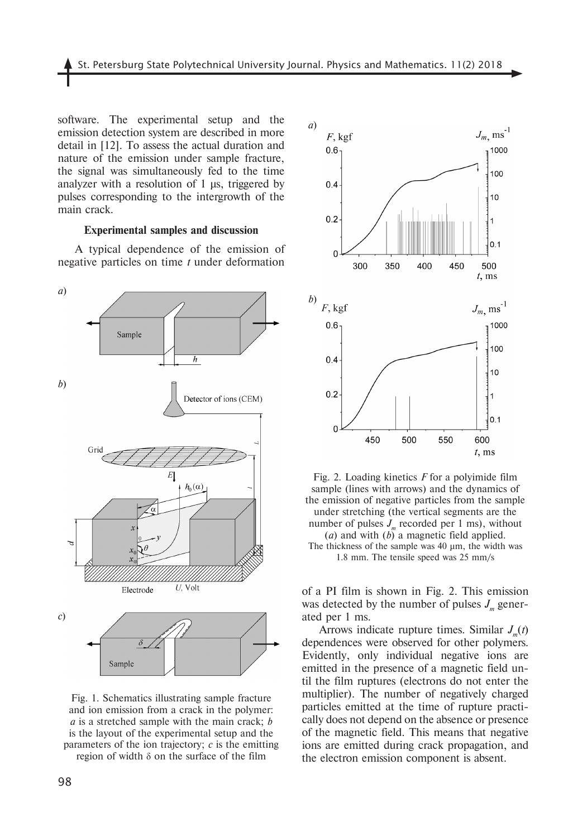software. The experimental setup and the emission detection system are described in more detail in [12]. To assess the actual duration and nature of the emission under sample fracture, the signal was simultaneously fed to the time analyzer with a resolution of 1 μs, triggered by pulses corresponding to the intergrowth of the main crack.

### **Experimental samples and discussion**

A typical dependence of the emission of negative particles on time *t* under deformation



Fig. 1. Schematics illustrating sample fracture and ion emission from a crack in the polymer: *a* is a stretched sample with the main crack; *b* is the layout of the experimental setup and the parameters of the ion trajectory; *c* is the emitting region of width δ on the surface of the film



Fig. 2. Loading kinetics *F* for a polyimide film sample (lines with arrows) and the dynamics of the emission of negative particles from the sample under stretching (the vertical segments are the number of pulses  $J_m$  recorded per 1 ms), without (*a*) and with (*b*) a magnetic field applied. The thickness of the sample was 40 μm, the width was 1.8 mm. The tensile speed was 25 mm/s

of a PI film is shown in Fig. 2. This emission was detected by the number of pulses  $J<sub>m</sub>$  generated per 1 ms.

Arrows indicate rupture times. Similar  $J_m(t)$ dependences were observed for other polymers. Evidently, only individual negative ions are emitted in the presence of a magnetic field until the film ruptures (electrons do not enter the multiplier). The number of negatively charged particles emitted at the time of rupture practically does not depend on the absence or presence of the magnetic field. This means that negative ions are emitted during crack propagation, and the electron emission component is absent.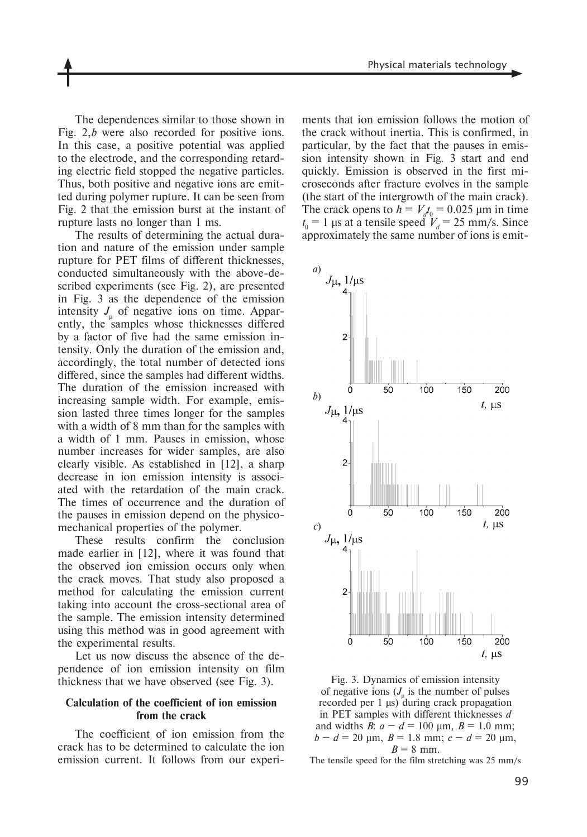The dependences similar to those shown in Fig. 2,*b* were also recorded for positive ions. In this case, a positive potential was applied to the electrode, and the corresponding retarding electric field stopped the negative particles. Thus, both positive and negative ions are emitted during polymer rupture. It can be seen from Fig. 2 that the emission burst at the instant of rupture lasts no longer than 1 ms.

The results of determining the actual duration and nature of the emission under sample rupture for PET films of different thicknesses, conducted simultaneously with the above-described experiments (see Fig. 2), are presented in Fig. 3 as the dependence of the emission intensity  $J_{\mu}$  of negative ions on time. Apparently, the samples whose thicknesses differed by a factor of five had the same emission intensity. Only the duration of the emission and, accordingly, the total number of detected ions differed, since the samples had different widths. The duration of the emission increased with increasing sample width. For example, emission lasted three times longer for the samples with a width of 8 mm than for the samples with a width of 1 mm. Pauses in emission, whose number increases for wider samples, are also clearly visible. As established in [12], a sharp decrease in ion emission intensity is associated with the retardation of the main crack. The times of occurrence and the duration of the pauses in emission depend on the physicomechanical properties of the polymer.

These results confirm the conclusion made earlier in [12], where it was found that the observed ion emission occurs only when the crack moves. That study also proposed a method for calculating the emission current taking into account the cross-sectional area of the sample. The emission intensity determined using this method was in good agreement with the experimental results.

Let us now discuss the absence of the dependence of ion emission intensity on film thickness that we have observed (see Fig. 3).

# **Calculation of the coefficient of ion emission from the crack**

The coefficient of ion emission from the crack has to be determined to calculate the ion emission current. It follows from our experi-

ments that ion emission follows the motion of the crack without inertia. This is confirmed, in particular, by the fact that the pauses in emission intensity shown in Fig. 3 start and end quickly. Emission is observed in the first microseconds after fracture evolves in the sample (the start of the intergrowth of the main crack). The crack opens to  $h = V_d t_0 = 0.025 \text{ }\mu\text{m}$  in time  $t_0 = 1$  μs at a tensile speed  $V_d = 25$  mm/s. Since approximately the same number of ions is emit-



Fig. 3. Dynamics of emission intensity of negative ions  $(J_{\mu}$  is the number of pulses recorded per 1 μs) during crack propagation in PET samples with different thicknesses *d*  and widths *B*:  $a - d = 100 \, \mu \text{m}$ ,  $B = 1.0 \, \text{mm}$ ;  $b - d = 20 \text{ µm}, B = 1.8 \text{ mm}; c - d = 20 \text{ µm},$  $B = 8$  mm.

The tensile speed for the film stretching was 25 mm/s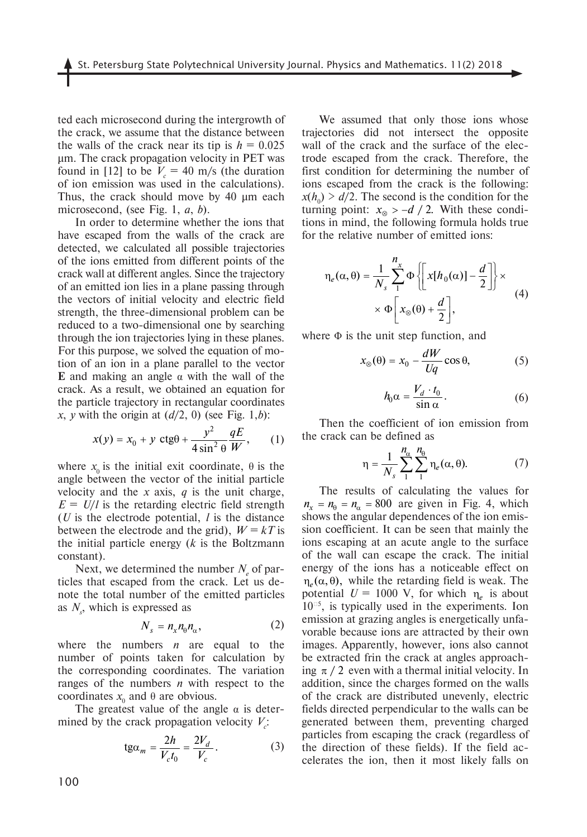ted each microsecond during the intergrowth of the crack, we assume that the distance between the walls of the crack near its tip is  $h = 0.025$ μm. The crack propagation velocity in PET was found in [12] to be  $V_c = 40$  m/s (the duration of ion emission was used in the calculations). Thus, the crack should move by 40 μm each microsecond, (see Fig. 1, *a*, *b*).

In order to determine whether the ions that have escaped from the walls of the crack are detected, we calculated all possible trajectories of the ions emitted from different points of the crack wall at different angles. Since the trajectory of an emitted ion lies in a plane passing through the vectors of initial velocity and electric field strength, the three-dimensional problem can be reduced to a two-dimensional one by searching through the ion trajectories lying in these planes. For this purpose, we solved the equation of motion of an ion in a plane parallel to the vector **E** and making an angle α with the wall of the crack. As a result, we obtained an equation for the particle trajectory in rectangular coordinates *x*, *y* with the origin at  $(d/2, 0)$  (see Fig. 1,*b*):

$$
x(y) = x_0 + y \ \text{ctg}\theta + \frac{y^2}{4\sin^2\theta} \frac{qE}{W}, \qquad (1)
$$

where  $x_0$  is the initial exit coordinate,  $\theta$  is the angle between the vector of the initial particle velocity and the *x* axis, *q* is the unit charge,  $E = U/l$  is the retarding electric field strength (*U* is the electrode potential, *l* is the distance between the electrode and the grid),  $W = kT$  is the initial particle energy (*k* is the Boltzmann constant).

Next, we determined the number  $N_e$  of particles that escaped from the crack. Let us denote the total number of the emitted particles as  $N_s$ , which is expressed as

$$
N_s = n_x n_\theta n_\alpha,\tag{2}
$$

where the numbers *n* are equal to the number of points taken for calculation by the corresponding coordinates. The variation ranges of the numbers *n* with respect to the coordinates  $x_0$  and  $\theta$  are obvious.

The greatest value of the angle  $\alpha$  is determined by the crack propagation velocity  $V_c$ :

$$
tg\alpha_m = \frac{2h}{V_c t_0} = \frac{2V_d}{V_c}.
$$
 (3)

We assumed that only those ions whose trajectories did not intersect the opposite wall of the crack and the surface of the electrode escaped from the crack. Therefore, the first condition for determining the number of ions escaped from the crack is the following:  $x(h_0)$  >  $d/2$ . The second is the condition for the turning point:  $x_{\infty}$  > −d / 2. With these conditions in mind, the following formula holds true for the relative number of emitted ions:

$$
\eta_e(\alpha, \theta) = \frac{1}{N_s} \sum_{1}^{n_x} \Phi \left\{ \left[ x[h_0(\alpha)] - \frac{d}{2} \right] \right\} \times \left( 4 \right) \times \Phi \left[ x_{\otimes}(\theta) + \frac{d}{2} \right],
$$
\n(4)

where  $\Phi$  is the unit step function, and

$$
x_{\otimes}(\theta) = x_0 - \frac{dW}{Uq} \cos \theta, \tag{5}
$$

$$
h_0 \alpha = \frac{V_d \cdot t_0}{\sin \alpha}.
$$
 (6)

Then the coefficient of ion emission from the crack can be defined as

$$
\eta = \frac{1}{N_s} \sum_{1}^{n_{\alpha}} \sum_{1}^{n_{\theta}} \eta_e(\alpha, \theta). \tag{7}
$$

The results of calculating the values for  $n_x = n_0 = n_\alpha = 800$  are given in Fig. 4, which shows the angular dependences of the ion emission coefficient. It can be seen that mainly the ions escaping at an acute angle to the surface of the wall can escape the crack. The initial energy of the ions has a noticeable effect on  $\eta_e(\alpha, \theta)$ , while the retarding field is weak. The potential  $U = 1000$  V, for which  $\eta_e$  is about 10−5, is typically used in the experiments. Ion emission at grazing angles is energetically unfavorable because ions are attracted by their own images. Apparently, however, ions also cannot be extracted frin the crack at angles approaching  $\pi/2$  even with a thermal initial velocity. In addition, since the charges formed on the walls of the crack are distributed unevenly, electric fields directed perpendicular to the walls can be generated between them, preventing charged particles from escaping the crack (regardless of the direction of these fields). If the field accelerates the ion, then it most likely falls on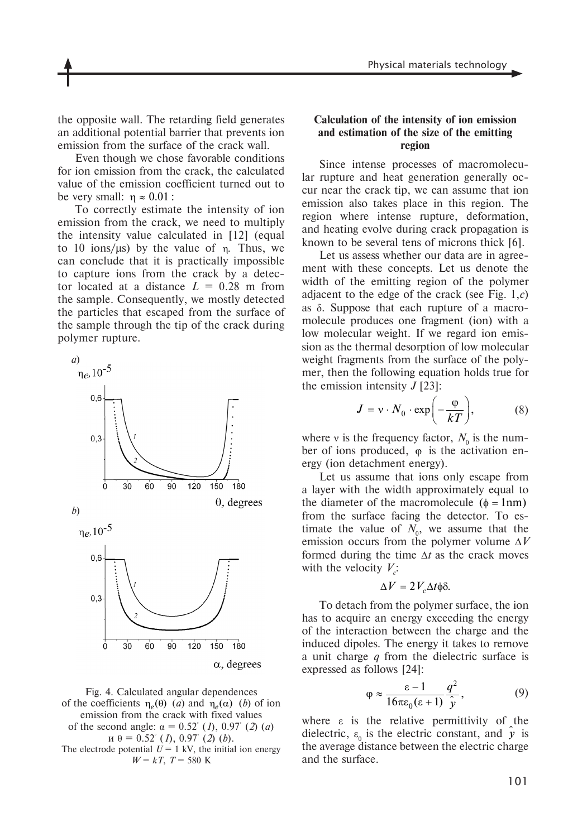the opposite wall. The retarding field generates an additional potential barrier that prevents ion emission from the surface of the crack wall.

Even though we chose favorable conditions for ion emission from the crack, the calculated value of the emission coefficient turned out to be very small:  $\eta \approx 0.01$ :

To correctly estimate the intensity of ion emission from the crack, we need to multiply the intensity value calculated in [12] (equal to 10 ions/ $\mu$ s) by the value of  $\eta$ . Thus, we can conclude that it is practically impossible to capture ions from the crack by a detector located at a distance  $L = 0.28$  m from the sample. Consequently, we mostly detected the particles that escaped from the surface of the sample through the tip of the crack during polymer rupture.





# **Calculation of the intensity of ion emission and estimation of the size of the emitting region**

Since intense processes of macromolecular rupture and heat generation generally occur near the crack tip, we can assume that ion emission also takes place in this region. The region where intense rupture, deformation, and heating evolve during crack propagation is known to be several tens of microns thick [6].

Let us assess whether our data are in agreement with these concepts. Let us denote the width of the emitting region of the polymer adjacent to the edge of the crack (see Fig. 1,*c*) as δ. Suppose that each rupture of a macromolecule produces one fragment (ion) with a low molecular weight. If we regard ion emission as the thermal desorption of low molecular weight fragments from the surface of the polymer, then the following equation holds true for the emission intensity *J* [23]:

$$
J = v \cdot N_0 \cdot \exp\left(-\frac{\varphi}{kT}\right),\tag{8}
$$

where  $v$  is the frequency factor,  $N_0$  is the number of ions produced,  $\varphi$  is the activation energy (ion detachment energy).

Let us assume that ions only escape from a layer with the width approximately equal to the diameter of the macromolecule  $(\phi = 1$ nm) from the surface facing the detector. To estimate the value of  $N_0$ , we assume that the emission occurs from the polymer volume  $\Delta V$ formed during the time  $\Delta t$  as the crack moves with the velocity  $V_c$ :

$$
\Delta V = 2V_c \Delta t \phi \delta.
$$

To detach from the polymer surface, the ion has to acquire an energy exceeding the energy of the interaction between the charge and the induced dipoles. The energy it takes to remove a unit charge *q* from the dielectric surface is expressed as follows [24]:

$$
\varphi \approx \frac{\varepsilon - 1}{16\pi\varepsilon_0(\varepsilon + 1)} \frac{q^2}{\hat{y}},\tag{9}
$$

where  $\varepsilon$  is the relative permittivity of the dielectric,  $\varepsilon_0$  is the electric constant, and  $\hat{y}$  is the average distance between the electric charge and the surface.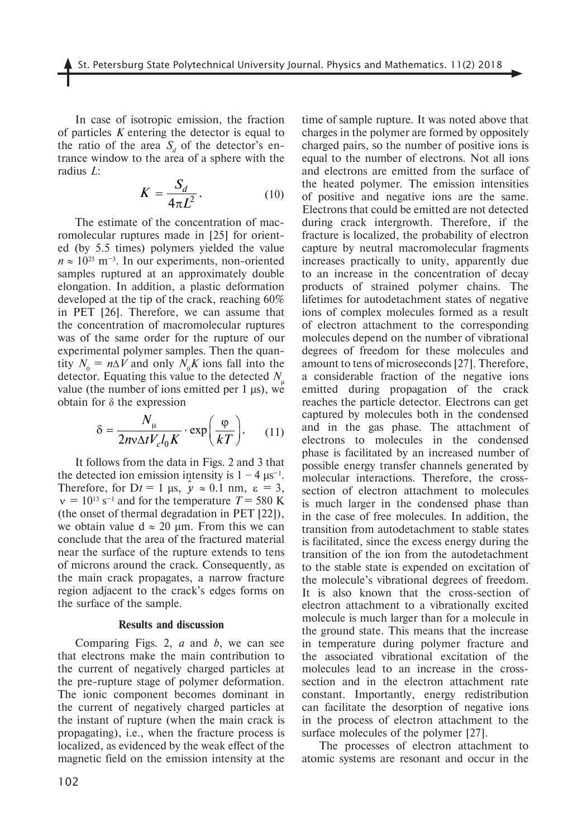In case of isotropic emission, the fraction of particles *K* entering the detector is equal to the ratio of the area  $S_d$  of the detector's entrance window to the area of a sphere with the radius *L*:

$$
K = \frac{S_d}{4\pi L^2}.
$$
 (10)

The estimate of the concentration of macromolecular ruptures made in [25] for oriented (by 5.5 times) polymers yielded the value  $n \approx 10^{25}$  m<sup>-3</sup>. In our experiments, non-oriented samples ruptured at an approximately double elongation. In addition, a plastic deformation developed at the tip of the crack, reaching 60% in PET [26]. Therefore, we can assume that the concentration of macromolecular ruptures was of the same order for the rupture of our experimental polymer samples. Then the quantity  $N_0 = n\Delta V$  and only  $N_0K$  ions fall into the detector. Equating this value to the detected  $N_{\text{u}}$ value (the number of ions emitted per 1 μs), we obtain for δ the expression

$$
\delta = \frac{N_{\mu}}{2n v \Delta t V_{c} l_{0} K} \cdot \exp\bigg(\frac{\varphi}{kT}\bigg). \tag{11}
$$

It follows from the data in Figs. 2 and 3 that the detected ion emission intensity is  $1 - 4 \mu s^{-1}$ . Therefore, for  $Dt = 1 \mu s$ ,  $\hat{y} \approx 0.1 \text{ nm}$ ,  $\epsilon = 3$ ,  $v = 10^{13}$  s<sup>-1</sup> and for the temperature  $T = 580$  K (the onset of thermal degradation in PET [22]), we obtain value  $d \approx 20 \mu m$ . From this we can conclude that the area of the fractured material near the surface of the rupture extends to tens of microns around the crack. Consequently, as the main crack propagates, a narrow fracture region adjacent to the crack's edges forms on the surface of the sample.

### **Results and discussion**

Comparing Figs. 2, *a* and *b*, we can see that electrons make the main contribution to the current of negatively charged particles at the pre-rupture stage of polymer deformation. The ionic component becomes dominant in the current of negatively charged particles at the instant of rupture (when the main crack is propagating), i.e., when the fracture process is localized, as evidenced by the weak effect of the magnetic field on the emission intensity at the

102

time of sample rupture. It was noted above that charges in the polymer are formed by oppositely charged pairs, so the number of positive ions is equal to the number of electrons. Not all ions and electrons are emitted from the surface of the heated polymer. The emission intensities of positive and negative ions are the same. Electrons that could be emitted are not detected during crack intergrowth. Therefore, if the fracture is localized, the probability of electron capture by neutral macromolecular fragments increases practically to unity, apparently due to an increase in the concentration of decay products of strained polymer chains. The lifetimes for autodetachment states of negative ions of complex molecules formed as a result of electron attachment to the corresponding molecules depend on the number of vibrational degrees of freedom for these molecules and amount to tens of microseconds [27]. Therefore, a considerable fraction of the negative ions emitted during propagation of the crack reaches the particle detector. Electrons can get captured by molecules both in the condensed and in the gas phase. The attachment of electrons to molecules in the condensed phase is facilitated by an increased number of possible energy transfer channels generated by molecular interactions. Therefore, the crosssection of electron attachment to molecules is much larger in the condensed phase than in the case of free molecules. In addition, the transition from autodetachment to stable states is facilitated, since the excess energy during the transition of the ion from the autodetachment to the stable state is expended on excitation of the molecule's vibrational degrees of freedom. It is also known that the cross-section of electron attachment to a vibrationally excited molecule is much larger than for a molecule in the ground state. This means that the increase in temperature during polymer fracture and the associated vibrational excitation of the molecules lead to an increase in the crosssection and in the electron attachment rate constant. Importantly, energy redistribution can facilitate the desorption of negative ions in the process of electron attachment to the surface molecules of the polymer [27].

The processes of electron attachment to atomic systems are resonant and occur in the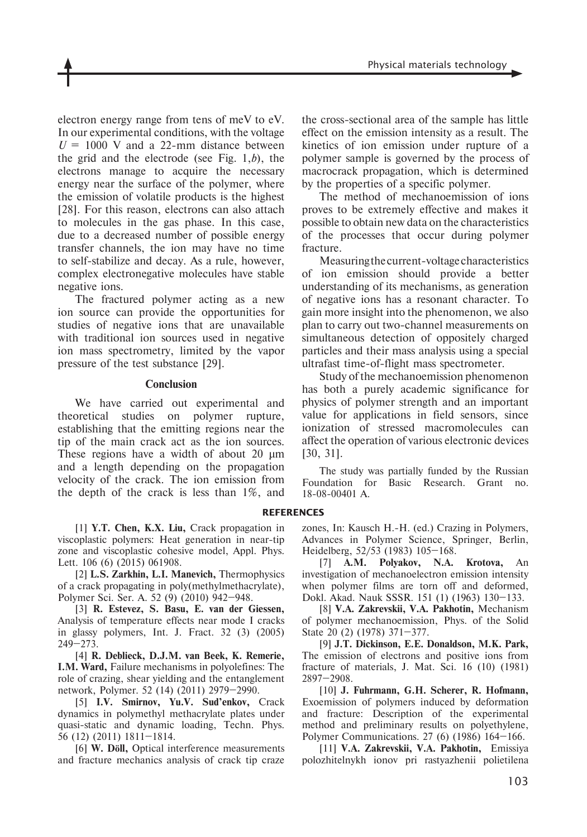electron energy range from tens of meV to eV. In our experimental conditions, with the voltage  $U = 1000$  V and a 22-mm distance between the grid and the electrode (see Fig. 1,*b*), the electrons manage to acquire the necessary energy near the surface of the polymer, where the emission of volatile products is the highest [28]. For this reason, electrons can also attach to molecules in the gas phase. In this case, due to a decreased number of possible energy transfer channels, the ion may have no time to self-stabilize and decay. As a rule, however, complex electronegative molecules have stable negative ions.

The fractured polymer acting as a new ion source can provide the opportunities for studies of negative ions that are unavailable with traditional ion sources used in negative ion mass spectrometry, limited by the vapor pressure of the test substance [29].

#### **Conclusion**

We have carried out experimental and theoretical studies on polymer rupture, establishing that the emitting regions near the tip of the main crack act as the ion sources. These regions have a width of about 20 μm and a length depending on the propagation velocity of the crack. The ion emission from the depth of the crack is less than 1%, and

[1] **Y.T. Chen, K.X. Liu,** Crack propagation in viscoplastic polymers: Heat generation in near-tip zone and viscoplastic cohesive model, Appl. Phys. Lett. 106 (6) (2015) 061908.

[2] **L.S. Zarkhin, L.I. Manevich,** Thermophysics of a crack propagating in poly(methylmethacrylate), Polymer Sci. Ser. A. 52 (9) (2010) 942–948.

[3] **R. Estevez, S. Basu, E. van der Giessen,** Analysis of temperature effects near mode I cracks in glassy polymers, Int. J. Fract. 32 (3) (2005) 249–273.

[4] **R. Deblieck, D.J.M. van Beek, K. Remerie, I.M. Ward,** Failure mechanisms in polyolefines: The role of crazing, shear yielding and the entanglement network, Polymer. 52 (14) (2011) 2979–2990.

[5] **I.V. Smirnov, Yu.V. Sud'enkov,** Crack dynamics in polymethyl methacrylate plates under quasi-static and dynamic loading, Techn. Phys. 56 (12) (2011) 1811–1814.

[6] **W. Döll,** Optical interference measurements and fracture mechanics analysis of crack tip craze

the cross-sectional area of the sample has little effect on the emission intensity as a result. The kinetics of ion emission under rupture of a polymer sample is governed by the process of macrocrack propagation, which is determined by the properties of a specific polymer.

Physical materials technology

The method of mechanoemission of ions proves to be extremely effective and makes it possible to obtain new data on the characteristics of the processes that occur during polymer fracture.

Measuring the current-voltage characteristics of ion emission should provide a better understanding of its mechanisms, as generation of negative ions has a resonant character. To gain more insight into the phenomenon, we also plan to carry out two-channel measurements on simultaneous detection of oppositely charged particles and their mass analysis using a special ultrafast time-of-flight mass spectrometer.

Study of the mechanoemission phenomenon has both a purely academic significance for physics of polymer strength and an important value for applications in field sensors, since ionization of stressed macromolecules can affect the operation of various electronic devices [30, 31].

The study was partially funded by the Russian Foundation for Basic Research. Grant no. 18-08-00401 A.

#### **REFERENCES**

zones, In: Kausch H.-H. (ed.) Crazing in Polymers, Advances in Polymer Science, Springer, Berlin, Heidelberg, 52/53 (1983) 105–168.

[7] **A.M. Polyakov, N.A. Krotova,** An investigation of mechanoelectron emission intensity when polymer films are torn off and deformed, Dokl. Akad. Nauk SSSR. 151 (1) (1963) 130–133.

[8] **V.A. Zakrevskii, V.A. Pakhotin,** Mechanism of polymer mechanoemission, Phys. of the Solid State 20 (2) (1978) 371–377.

[9] **J.T. Dickinson, E.E. Donaldson, M.K. Park,** The emission of electrons and positive ions from fracture of materials, J. Mat. Sci. 16 (10) (1981) 2897–2908.

[10] **J. Fuhrmann, G.H. Scherer, R. Hofmann,** Exoemission of polymers induced by deformation and fracture: Description of the experimental method and preliminary results on polyethylene, Polymer Communications. 27 (6) (1986) 164–166.

[11] **V.A. Zakrevskii, V.A. Pakhotin,** Emissiya polozhitelnykh ionov pri rastyazhenii polietilena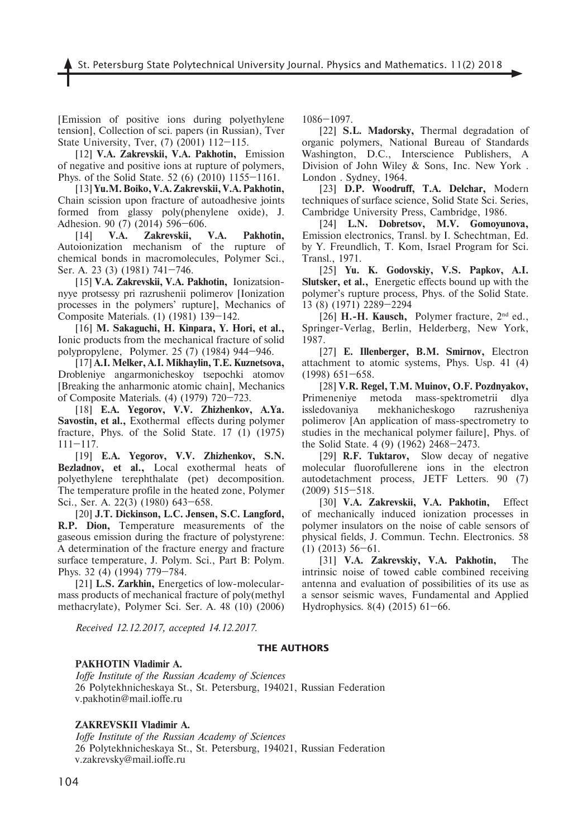[Emission of positive ions during polyethylene tension], Collection of sci. papers (in Russian), Tver State University, Tver, (7) (2001) 112–115.

[12] **V.A. Zakrevskii, V.A. Pakhotin,** Emission of negative and positive ions at rupture of polymers, Phys. of the Solid State. 52 (6) (2010) 1155–1161.

[13] **Yu.M. Boiko, V.A. Zakrevskii, V.A. Pakhotin,** Chain scission upon fracture of autoadhesive joints formed from glassy poly(phenylene oxide), J. Adhesion. 90 (7) (2014) 596–606.

[14] **V.A. Zakrevskii, V.A. Pakhotin,** Autoionization meсhanism of the rupture of chemical bonds in macromolecules, Polymer Sci., Ser. A. 23 (3) (1981) 741–746.

[15] **V.A. Zakrevskii, V.A. Pakhotin,** Ionizatsionnyye protsessy pri razrushenii polimerov [Ionization processes in the polymers' rupture], Mechanics of Composite Materials. (1) (1981) 139–142.

[16] **M. Sakaguchi, H. Kinpara, Y. Hori, et al.,** Ionic products from the mechanical fracture of solid polypropylene, Polymer. 25 (7) (1984) 944–946.

[17] **A.I. Melker, A.I. Mikhaylin, T.E. Kuznetsova,** Drobleniye angarmonicheskoy tsepochki atomov [Breaking the anharmonic atomic chain], Mechanics of Composite Materials. (4) (1979) 720–723.

[18] **E.A. Yegorov, V.V. Zhizhenkov, A.Ya. Savostin, et al.,** Exothermal effects during polymer fracture, Phys. of the Solid State. 17 (1) (1975) 111–117.

[19] **E.A. Yegorov, V.V. Zhizhenkov, S.N. Bezladnov, et al.,** Local exothermal heats of polyethylene terephthalate (pet) decomposition. The temperature profile in the heated zone, Polymer Sci., Ser. A. 22(3) (1980) 643–658.

[20] **J.T. Dickinson, L.C. Jensen, S.C. Langford, R.P. Dion,** Temperature measurements of the gaseous emission during the fracture of polystyrene: A determination of the fracture energy and fracture surface temperature, J. Polym. Sci., Part B: Polym. Phys. 32 (4) (1994) 779–784.

[21] **L.S. Zarkhin,** Energetics of low-molecularmass products of mechanical fracture of poly(methyl methacrylate), Polymer Sci. Ser. A. 48 (10) (2006)

*Received 12.12.2017, accepted 14.12.2017.*

1086–1097.

[22] **S.L. Madorsky,** Thermal degradation of organic polymers, National Bureau of Standards Washington, D.C., Interscience Publishers, A Division of John Wiley & Sons, Inc. New York . London . Sydney, 1964.

[23] **D.P. Woodruff, T.A. Delchar,** Modern techniques of surface science, Solid State Sci. Series, Cambridge University Press, Cambridge, 1986.

[24] **L.N. Dobretsov, M.V. Gomoyunova,** Emission electronics, Transl. by I. Schechtman, Ed. by Y. Freundlich, T. Kom, Israel Program for Sci. Transl., 1971.

[25] **Yu. K. Godovskiy, V.S. Papkov, A.I. Slutsker, et al.,** Energetic effects bound up with the polymer's rupture process, Phys. of the Solid State. 13 (8) (1971) 2289–2294

[26] **H.-H. Kausch,** Polymer fracture, 2nd ed., Springer-Verlag, Berlin, Helderberg, New York, 1987.

[27] **E. Illenberger, B.M. Smirnov,** Electron attachment to atomic systems, Phys. Usp. 41 (4) (1998) 651–658.

[28] **V.R. Regel, T.M. Muinov, O.F. Pozdnyakov,** Primeneniye metoda mass-spektrometrii dlya issledovaniya mekhanicheskogo razrusheniya polimerov [An application of mass-spectrometry to studies in the mechanical polymer failure], Phys. of the Solid State. 4 (9) (1962) 2468–2473.

[29] **R.F. Tuktarov,** Slow decay of negative molecular fluorofullerene ions in the electron autodetachment process, JETF Letters. 90 (7) (2009) 515–518.

[30] **V.A. Zakrevskii, V.A. Pakhotin,** Effect of mechanically induced ionization processes in polymer insulators on the noise of cable sensors of physical fields, J. Commun. Techn. Electronics. 58 (1) (2013) 56–61.

[31] **V.A. Zakrevskiy, V.A. Pakhotin,** The intrinsic noise of towed cable combined receiving antenna and evaluation of possibilities of its use as a sensor seismic waves, Fundamental and Applied Hydrophysics. 8(4) (2015) 61–66.

# **the authors**

# **Pakhotin Vladimir A.**

*Ioffe Institute of the Russian Academy of Sciences* 26 Polytekhnicheskaya St., St. Petersburg, 194021, Russian Federation v.pakhotin@mail.ioffe.ru

# **Zakrevskii Vladimir A.**

*Ioffe Institute of the Russian Academy of Sciences* 26 Polytekhnicheskaya St., St. Petersburg, 194021, Russian Federation v.zakrevsky@mail.ioffe.ru